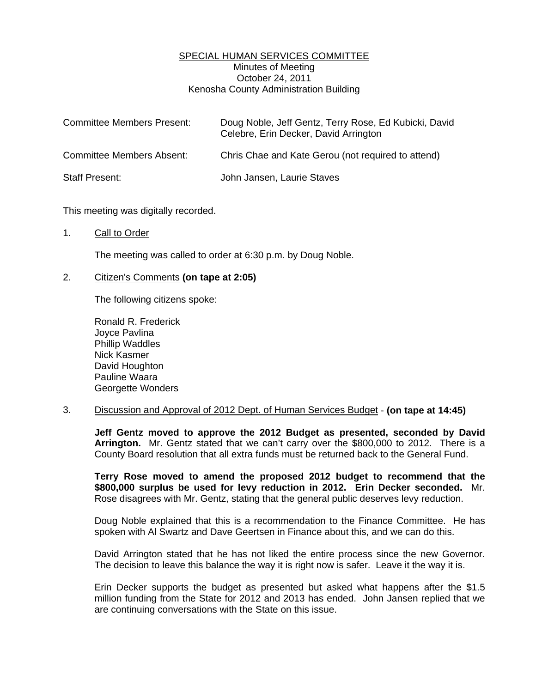## SPECIAL HUMAN SERVICES COMMITTEE Minutes of Meeting October 24, 2011 Kenosha County Administration Building

| <b>Committee Members Present:</b> | Doug Noble, Jeff Gentz, Terry Rose, Ed Kubicki, David<br>Celebre, Erin Decker, David Arrington |
|-----------------------------------|------------------------------------------------------------------------------------------------|
| <b>Committee Members Absent:</b>  | Chris Chae and Kate Gerou (not required to attend)                                             |
| <b>Staff Present:</b>             | John Jansen, Laurie Staves                                                                     |

This meeting was digitally recorded.

## 1. Call to Order

The meeting was called to order at 6:30 p.m. by Doug Noble.

## 2. Citizen's Comments **(on tape at 2:05)**

The following citizens spoke:

 Ronald R. Frederick Joyce Pavlina Phillip Waddles Nick Kasmer David Houghton Pauline Waara Georgette Wonders

## 3. Discussion and Approval of 2012 Dept. of Human Services Budget - **(on tape at 14:45)**

**Jeff Gentz moved to approve the 2012 Budget as presented, seconded by David Arrington.** Mr. Gentz stated that we can't carry over the \$800,000 to 2012. There is a County Board resolution that all extra funds must be returned back to the General Fund.

**Terry Rose moved to amend the proposed 2012 budget to recommend that the \$800,000 surplus be used for levy reduction in 2012. Erin Decker seconded.** Mr. Rose disagrees with Mr. Gentz, stating that the general public deserves levy reduction.

 Doug Noble explained that this is a recommendation to the Finance Committee. He has spoken with Al Swartz and Dave Geertsen in Finance about this, and we can do this.

 David Arrington stated that he has not liked the entire process since the new Governor. The decision to leave this balance the way it is right now is safer. Leave it the way it is.

 Erin Decker supports the budget as presented but asked what happens after the \$1.5 million funding from the State for 2012 and 2013 has ended. John Jansen replied that we are continuing conversations with the State on this issue.